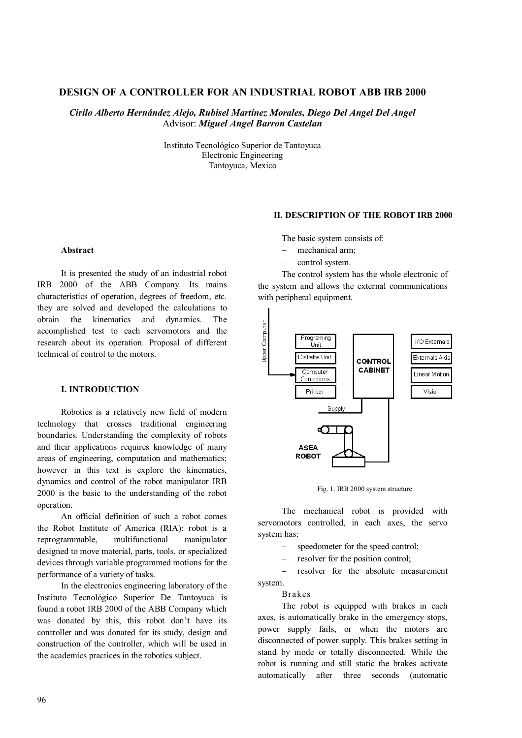# **DESIGN OF A CONTROLLER FOR AN INDUSTRIAL ROBOT ABB IRB 2000**

*Cirilo Alberto Hernández Alejo, Rubisel Martínez Morales, Diego Del Angel Del Angel* Advisor: *Miguel Angel Barron Castelan*

> Instituto Tecnológico Superior de Tantoyuca Electronic Engineering Tantoyuca, Mexico

### **II. DESCRIPTION OF THE ROBOT IRB 2000**

The basic system consists of:

- mechanical arm;
- control system.

The control system has the whole electronic of the system and allows the external communications with peripheral equipment.



Fig. 1. IRB 2000 system structure

The mechanical robot is provided with servomotors controlled, in each axes, the servo system has:

speedometer for the speed control;

resolver for the position control;

 resolver for the absolute measurement system.

Brakes

The robot is equipped with brakes in each axes, is automatically brake in the emergency stops, power supply fails, or when the motors are disconnected of power supply. This brakes setting in stand by mode or totally disconnected. While the robot is running and still static the brakes activate automatically after three seconds (automatic

### **Abstract**

It is presented the study of an industrial robot IRB 2000 of the ABB Company. Its mains characteristics of operation, degrees of freedom, etc. they are solved and developed the calculations to obtain the kinematics and dynamics. The accomplished test to each servomotors and the research about its operation. Proposal of different technical of control to the motors.

## **I. INTRODUCTION**

Robotics is a relatively new field of modern technology that crosses traditional engineering boundaries. Understanding the complexity of robots and their applications requires knowledge of many areas of engineering, computation and mathematics; however in this text is explore the kinematics, dynamics and control of the robot manipulator IRB 2000 is the basic to the understanding of the robot operation.

An official definition of such a robot comes the Robot Institute of America (RIA): robot is a reprogrammable, multifunctional manipulator designed to move material, parts, tools, or specialized devices through variable programmed motions for the performance of a variety of tasks.

In the electronics engineering laboratory of the Instituto Tecnológico Superior De Tantoyuca is found a robot IRB 2000 of the ABB Company which was donated by this, this robot don't have its controller and was donated for its study, design and construction of the controller, which will be used in the academics practices in the robotics subject.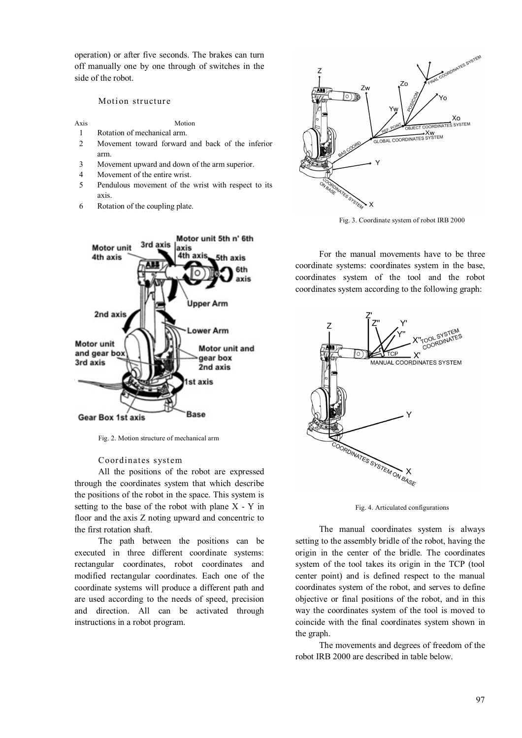operation) or after five seconds. The brakes can turn off manually one by one through of switches in the side of the robot.

## Motion structure

- Axis Motion
- 1 Rotation of mechanical arm.
- 2 Movement toward forward and back of the inferior arm.
- 3 Movement upward and down of the arm superior.
- 4 Movement of the entire wrist.
- 5 Pendulous movement of the wrist with respect to its axis.
- 6 Rotation of the coupling plate.



Fig. 2. Motion structure of mechanical arm

### Coordinates system

All the positions of the robot are expressed through the coordinates system that which describe the positions of the robot in the space. This system is setting to the base of the robot with plane X - Y in floor and the axis Z noting upward and concentric to the first rotation shaft.

The path between the positions can be executed in three different coordinate systems: rectangular coordinates, robot coordinates and modified rectangular coordinates. Each one of the coordinate systems will produce a different path and are used according to the needs of speed, precision and direction. All can be activated through instructions in a robot program.



Fig. 3. Coordinate system of robot IRB 2000

For the manual movements have to be three coordinate systems: coordinates system in the base, coordinates system of the tool and the robot coordinates system according to the following graph:



Fig. 4. Articulated configurations

The manual coordinates system is always setting to the assembly bridle of the robot, having the origin in the center of the bridle. The coordinates system of the tool takes its origin in the TCP (tool center point) and is defined respect to the manual coordinates system of the robot, and serves to define objective or final positions of the robot, and in this way the coordinates system of the tool is moved to coincide with the final coordinates system shown in the graph.

The movements and degrees of freedom of the robot IRB 2000 are described in table below.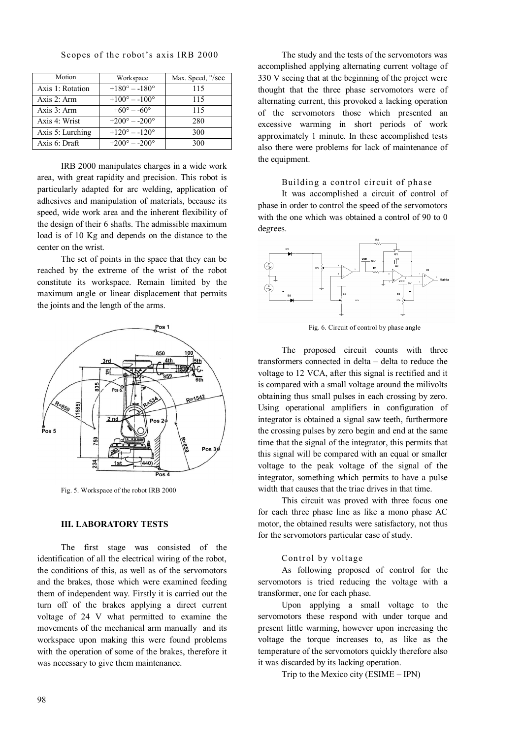| Motion           | Workspace                     | Max. Speed, °/sec |
|------------------|-------------------------------|-------------------|
| Axis 1: Rotation | $+180^{\circ} - -180^{\circ}$ | 115               |
| Axis $2:$ Arm    | $+100^{\circ} - -100^{\circ}$ | 115               |
| Axis $3:$ Arm    | $+60^{\circ} - -60^{\circ}$   | 115               |
| Axis 4: Wrist    | $+200^{\circ} - -200^{\circ}$ | 280               |
| Axis 5: Lurching | $+120^{\circ} - -120^{\circ}$ | 300               |
| Axis 6: Draft    | $+200^{\circ} - -200^{\circ}$ | 300               |

Scopes of the robot's axis IRB 2000

IRB 2000 manipulates charges in a wide work area, with great rapidity and precision. This robot is particularly adapted for arc welding, application of adhesives and manipulation of materials, because its speed, wide work area and the inherent flexibility of the design of their 6 shafts. The admissible maximum load is of 10 Kg and depends on the distance to the center on the wrist.

The set of points in the space that they can be reached by the extreme of the wrist of the robot constitute its workspace. Remain limited by the maximum angle or linear displacement that permits the joints and the length of the arms.



Fig. 5. Workspace of the robot IRB 2000

## **III. LABORATORY TESTS**

The first stage was consisted of the identification of all the electrical wiring of the robot, the conditions of this, as well as of the servomotors and the brakes, those which were examined feeding them of independent way. Firstly it is carried out the turn off of the brakes applying a direct current voltage of 24 V what permitted to examine the movements of the mechanical arm manually and its workspace upon making this were found problems with the operation of some of the brakes, therefore it was necessary to give them maintenance.

The study and the tests of the servomotors was accomplished applying alternating current voltage of 330 V seeing that at the beginning of the project were thought that the three phase servomotors were of alternating current, this provoked a lacking operation of the servomotors those which presented an excessive warming in short periods of work approximately 1 minute. In these accomplished tests also there were problems for lack of maintenance of the equipment.

### Building a control circuit of phase

It was accomplished a circuit of control of phase in order to control the speed of the servomotors with the one which was obtained a control of 90 to 0 degrees.



Fig. 6. Circuit of control by phase angle

The proposed circuit counts with three transformers connected in delta – delta to reduce the voltage to 12 VCA, after this signal is rectified and it is compared with a small voltage around the milivolts obtaining thus small pulses in each crossing by zero. Using operational amplifiers in configuration of integrator is obtained a signal saw teeth, furthermore the crossing pulses by zero begin and end at the same time that the signal of the integrator, this permits that this signal will be compared with an equal or smaller voltage to the peak voltage of the signal of the integrator, something which permits to have a pulse width that causes that the triac drives in that time.

This circuit was proved with three focus one for each three phase line as like a mono phase AC motor, the obtained results were satisfactory, not thus for the servomotors particular case of study.

#### Control by voltage

As following proposed of control for the servomotors is tried reducing the voltage with a transformer, one for each phase.

Upon applying a small voltage to the servomotors these respond with under torque and present little warming, however upon increasing the voltage the torque increases to, as like as the temperature of the servomotors quickly therefore also it was discarded by its lacking operation.

Trip to the Mexico city (ESIME – IPN)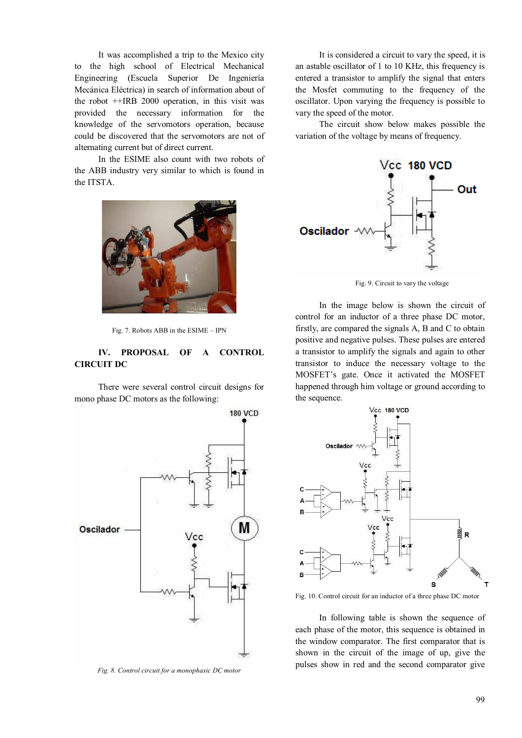It was accomplished a trip to the Mexico city to the high school of Electrical Mechanical Engineering (Escuela Superior De Ingeniería Mecánica Eléctrica) in search of information about of the robot ++IRB 2000 operation, in this visit was provided the necessary information for the knowledge of the servomotors operation, because could be discovered that the servomotors are not of alternating current but of direct current.

In the ESIME also count with two robots of the ABB industry very similar to which is found in the ITSTA.



Fig. 7. Robots ABB in the ESIME – IPN

# **IV. PROPOSAL OF A CONTROL CIRCUIT DC**

There were several control circuit designs for mono phase DC motors as the following:



*Fig. 8. Control circuit for a monophasic DC motor*

It is considered a circuit to vary the speed, it is an astable oscillator of 1 to 10 KHz, this frequency is entered a transistor to amplify the signal that enters the Mosfet commuting to the frequency of the oscillator. Upon varying the frequency is possible to vary the speed of the motor.

The circuit show below makes possible the variation of the voltage by means of frequency.



Fig. 9. Circuit to vary the voltage

In the image below is shown the circuit of control for an inductor of a three phase DC motor, firstly, are compared the signals A, B and C to obtain positive and negative pulses. These pulses are entered a transistor to amplify the signals and again to other transistor to induce the necessary voltage to the MOSFET's gate. Once it activated the MOSFET happened through him voltage or ground according to the sequence.



Fig. 10. Control circuit for an inductor of a three phase DC motor

In following table is shown the sequence of each phase of the motor, this sequence is obtained in the window comparator. The first comparator that is shown in the circuit of the image of up, give the pulses show in red and the second comparator give